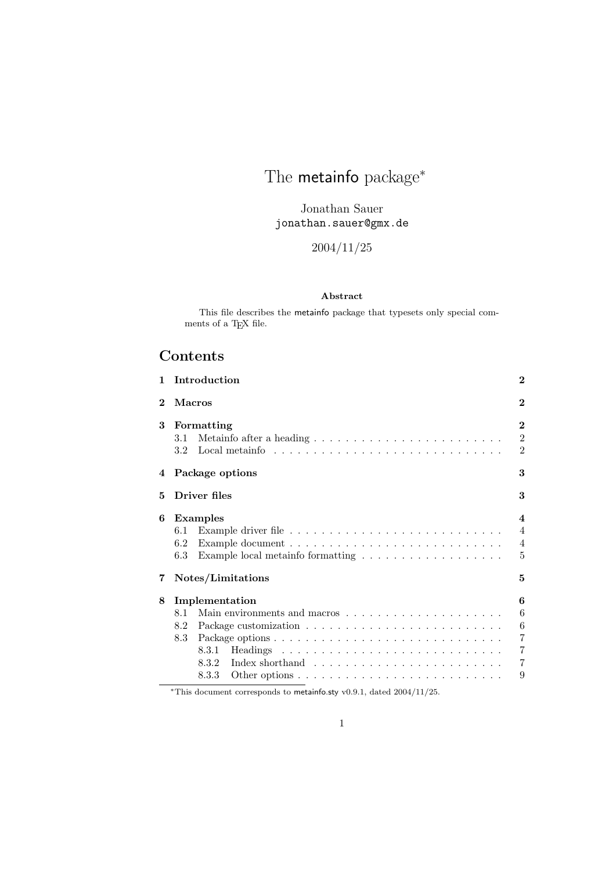# The metainfo package<sup>\*</sup>

Jonathan Sauer jonathan.sauer@gmx.de

## 2004/11/25

### Abstract

This file describes the metainfo package that typesets only special comments of a T<sub>E</sub>X file.

## Contents

|                        |                                                                                                                                                                                        | $\bf{2}$                                                                                           |  |  |
|------------------------|----------------------------------------------------------------------------------------------------------------------------------------------------------------------------------------|----------------------------------------------------------------------------------------------------|--|--|
| <b>Macros</b>          |                                                                                                                                                                                        |                                                                                                    |  |  |
| 3.1<br>3.2             |                                                                                                                                                                                        | $\overline{2}$<br>$\overline{2}$<br>$\overline{2}$                                                 |  |  |
|                        |                                                                                                                                                                                        | 3                                                                                                  |  |  |
|                        |                                                                                                                                                                                        | 3                                                                                                  |  |  |
| 6.1<br>6.2<br>6.3      | Example local metain fo formatting $\ldots \ldots \ldots \ldots \ldots \ldots$                                                                                                         | $\boldsymbol{4}$<br>$\overline{4}$<br>$\overline{4}$<br>$\overline{5}$                             |  |  |
| Notes/Limitations<br>5 |                                                                                                                                                                                        |                                                                                                    |  |  |
| 8.1<br>8.2<br>8.3      | 8.3.1<br>Index shorthand $\ldots \ldots \ldots \ldots \ldots \ldots \ldots \ldots$<br>8.3.2<br>Other options $\ldots \ldots \ldots \ldots \ldots \ldots \ldots \ldots \ldots$<br>8.3.3 | 6<br>6<br>$6\phantom{.}6$<br>$\overline{7}$<br>$\overline{7}$<br>$\overline{7}$<br>9               |  |  |
|                        |                                                                                                                                                                                        | Introduction<br>Formatting<br>Package options<br>Driver files<br><b>Examples</b><br>Implementation |  |  |

<sup>∗</sup>This document corresponds to metainfo.sty v0.9.1, dated 2004/11/25.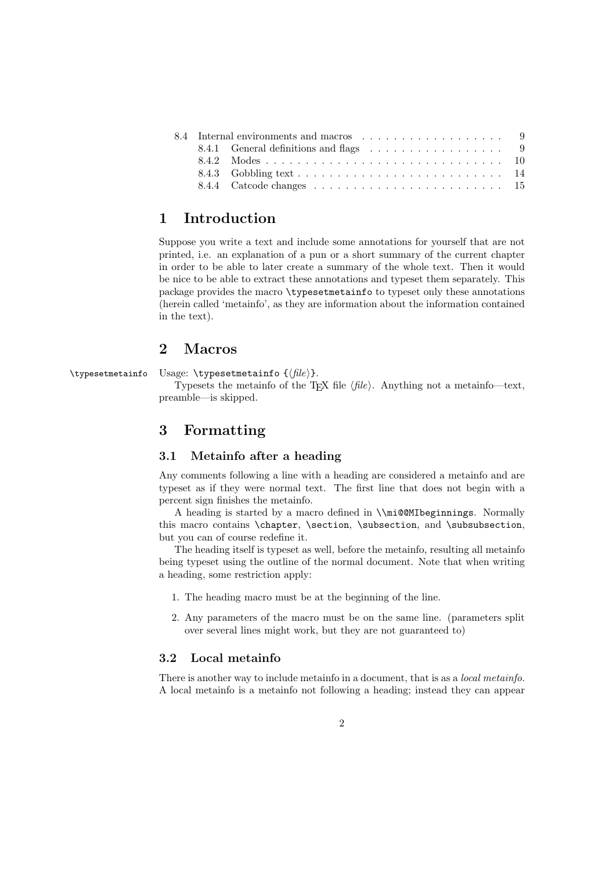|  | 8.4.1 General definitions and flags 9 |  |
|--|---------------------------------------|--|
|  |                                       |  |
|  |                                       |  |
|  |                                       |  |

## 1 Introduction

Suppose you write a text and include some annotations for yourself that are not printed, i.e. an explanation of a pun or a short summary of the current chapter in order to be able to later create a summary of the whole text. Then it would be nice to be able to extract these annotations and typeset them separately. This package provides the macro \typesetmetainfo to typeset only these annotations (herein called 'metainfo', as they are information about the information contained in the text).

## 2 Macros

\typesetmetainfo Usage: \typesetmetainfo  $\{\hat{file}\}.$ 

Typesets the metainfo of the T<sub>EX</sub> file  $\langle file \rangle$ . Anything not a metainfo—text, preamble—is skipped.

## 3 Formatting

### 3.1 Metainfo after a heading

Any comments following a line with a heading are considered a metainfo and are typeset as if they were normal text. The first line that does not begin with a percent sign finishes the metainfo.

A heading is started by a macro defined in \\mi@@MIbeginnings. Normally this macro contains \chapter, \section, \subsection, and \subsubsection, but you can of course redefine it.

The heading itself is typeset as well, before the metainfo, resulting all metainfo being typeset using the outline of the normal document. Note that when writing a heading, some restriction apply:

- 1. The heading macro must be at the beginning of the line.
- 2. Any parameters of the macro must be on the same line. (parameters split over several lines might work, but they are not guaranteed to)

### 3.2 Local metainfo

There is another way to include metainfo in a document, that is as a *local metainfo*. A local metainfo is a metainfo not following a heading; instead they can appear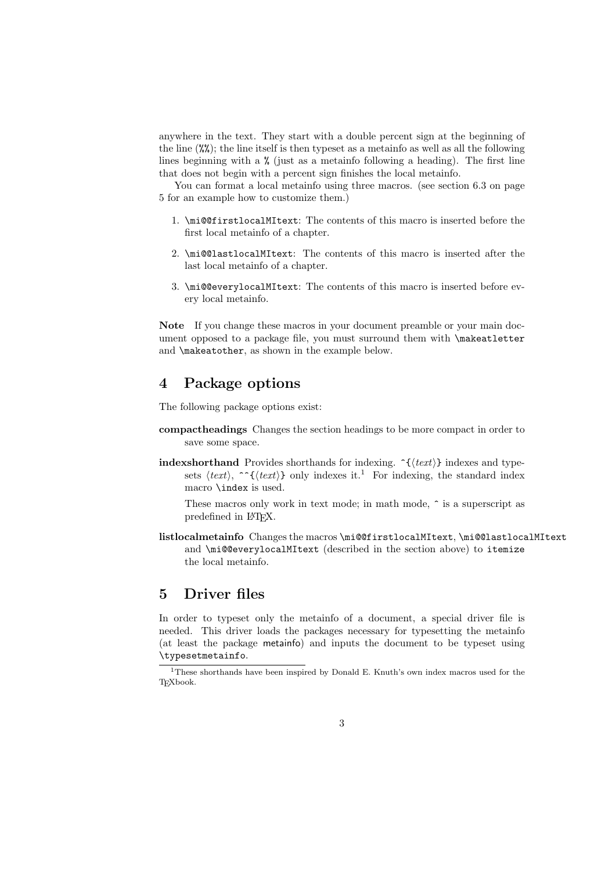anywhere in the text. They start with a double percent sign at the beginning of the line  $(\mathcal{X}\mathcal{X})$ ; the line itself is then typeset as a metainfo as well as all the following lines beginning with a % (just as a metainfo following a heading). The first line that does not begin with a percent sign finishes the local metainfo.

You can format a local metainfo using three macros. (see section 6.3 on page 5 for an example how to customize them.)

- 1. \mi@@firstlocalMItext: The contents of this macro is inserted before the first local metainfo of a chapter.
- 2. \mi@@lastlocalMItext: The contents of this macro is inserted after the last local metainfo of a chapter.
- 3. \mi@@everylocalMItext: The contents of this macro is inserted before every local metainfo.

Note If you change these macros in your document preamble or your main document opposed to a package file, you must surround them with **\makeatletter** and \makeatother, as shown in the example below.

## 4 Package options

The following package options exist:

- compactheadings Changes the section headings to be more compact in order to save some space.
- indexshorthand Provides shorthands for indexing. ^{htexti} indexes and typesets  $\langle text \rangle$ ,  $\hat{\ }$ { $\langle text \rangle$ } only indexes it.<sup>1</sup> For indexing, the standard index macro \index is used.

These macros only work in text mode; in math mode,  $\hat{\ }$  is a superscript as predefined in LATEX.

listlocalmetainfo Changes the macros \mi@@firstlocalMItext, \mi@@lastlocalMItext and \mi@@everylocalMItext (described in the section above) to itemize the local metainfo.

## 5 Driver files

In order to typeset only the metainfo of a document, a special driver file is needed. This driver loads the packages necessary for typesetting the metainfo (at least the package metainfo) and inputs the document to be typeset using \typesetmetainfo.

<sup>1</sup>These shorthands have been inspired by Donald E. Knuth's own index macros used for the TEXbook.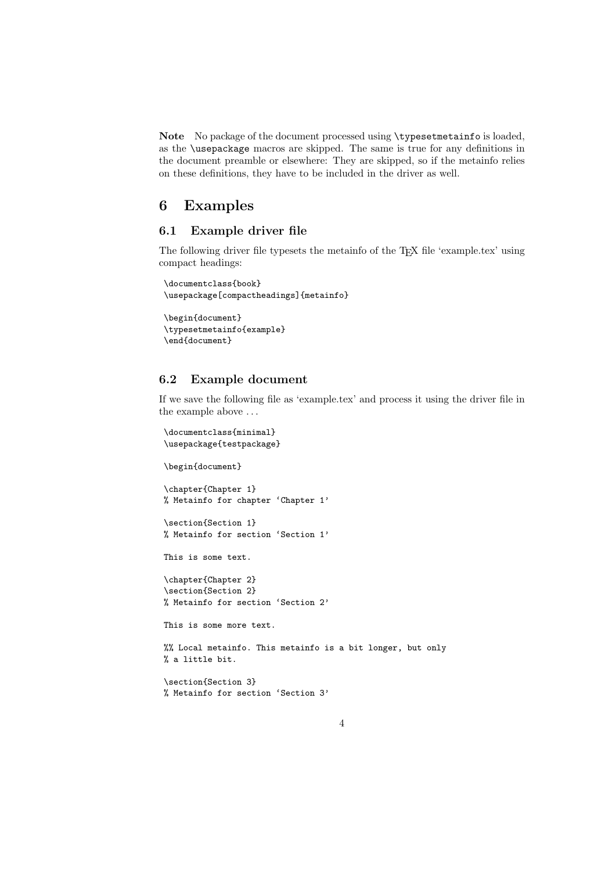Note No package of the document processed using \typesetmetainfo is loaded, as the \usepackage macros are skipped. The same is true for any definitions in the document preamble or elsewhere: They are skipped, so if the metainfo relies on these definitions, they have to be included in the driver as well.

## 6 Examples

### 6.1 Example driver file

The following driver file typesets the metainfo of the TEX file 'example.tex' using compact headings:

```
\documentclass{book}
\usepackage[compactheadings]{metainfo}
```

```
\begin{document}
\typesetmetainfo{example}
\end{document}
```
### 6.2 Example document

If we save the following file as 'example.tex' and process it using the driver file in the example above . . .

```
\documentclass{minimal}
\usepackage{testpackage}
```
\begin{document}

\chapter{Chapter 1} % Metainfo for chapter 'Chapter 1'

\section{Section 1} % Metainfo for section 'Section 1'

This is some text.

```
\chapter{Chapter 2}
\section{Section 2}
% Metainfo for section 'Section 2'
```
This is some more text.

%% Local metainfo. This metainfo is a bit longer, but only % a little bit.

```
\section{Section 3}
% Metainfo for section 'Section 3'
```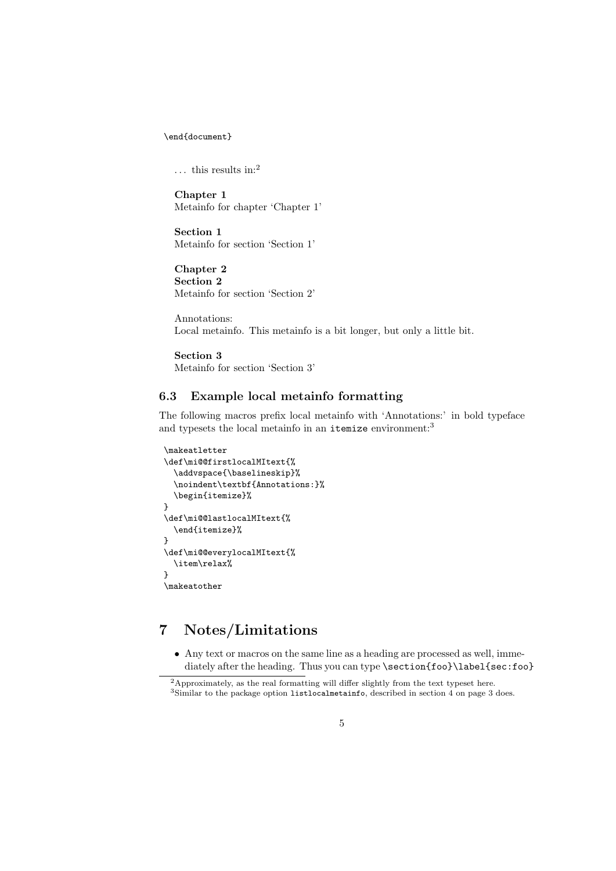\end{document}

 $\dots$  this results in:<sup>2</sup>

Chapter 1 Metainfo for chapter 'Chapter 1'

Section 1 Metainfo for section 'Section 1'

Chapter 2 Section 2 Metainfo for section 'Section 2'

Annotations: Local metainfo. This metainfo is a bit longer, but only a little bit.

Section 3

Metainfo for section 'Section 3'

## 6.3 Example local metainfo formatting

The following macros prefix local metainfo with 'Annotations:' in bold typeface and typesets the local metainfo in an itemize environment:<sup>3</sup>

```
\makeatletter
\def\mi@@firstlocalMItext{%
  \addvspace{\baselineskip}%
  \noindent\textbf{Annotations:}%
  \begin{itemize}%
}
\def\mi@@lastlocalMItext{%
  \end{itemize}%
}
\def\mi@@everylocalMItext{%
  \item\relax%
}
\makeatother
```
## 7 Notes/Limitations

• Any text or macros on the same line as a heading are processed as well, immediately after the heading. Thus you can type \section{foo}\label{sec:foo}

<sup>2</sup>Approximately, as the real formatting will differ slightly from the text typeset here.

<sup>3</sup>Similar to the package option listlocalmetainfo, described in section 4 on page 3 does.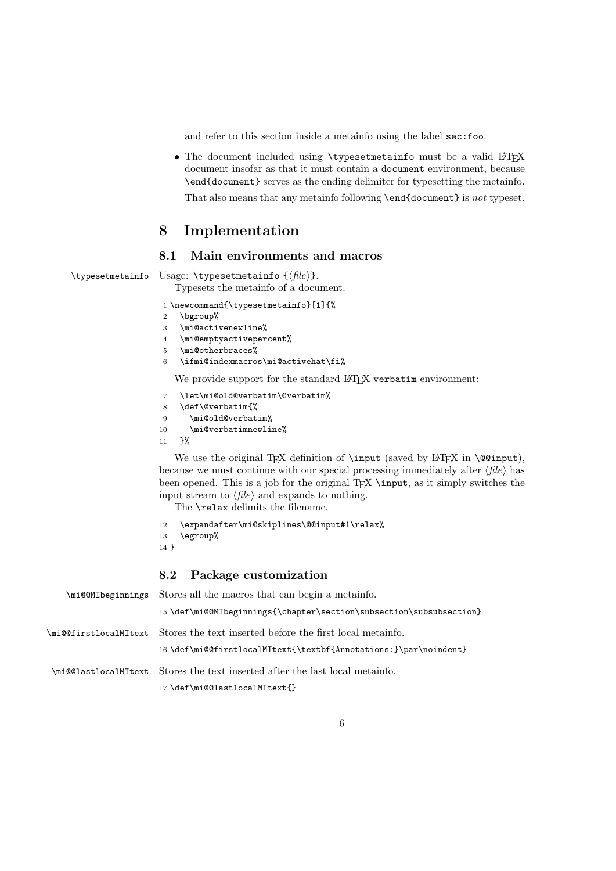and refer to this section inside a metainfo using the label sec:foo.

• The document included using \typesetmetainfo must be a valid LATEX document insofar as that it must contain a document environment, because \end{document} serves as the ending delimiter for typesetting the metainfo.

That also means that any metainfo following \end{document} is not typeset.

## 8 Implementation

### 8.1 Main environments and macros

```
\typesetmetainfo Usage: \typesetmetainfo {\langle file \rangle}.
```
Typesets the metainfo of a document.

1 \newcommand{\typesetmetainfo}[1]{%

- 2 \bgroup%
- 3 \mi@activenewline%
- 4 \mi@emptyactivepercent%
- 5 \mi@otherbraces%
- 6 \ifmi@indexmacros\mi@activehat\fi%

We provide support for the standard LAT<sub>EX</sub> verbatim environment:

- 7 \let\mi@old@verbatim\@verbatim%
- 8 \def\@verbatim{%
- 9 \mi@old@verbatim%
- 10 \mi@verbatimnewline%
- 11 }%

We use the original TEX definition of  $\infty$  (saved by LATEX in  $\@{opinput}$ ), because we must continue with our special processing immediately after  $\langle file \rangle$  has been opened. This is a job for the original  $T_{EX} \in \mathbb{R}$  as it simply switches the input stream to  $\langle file \rangle$  and expands to nothing.

The **\relax** delimits the filename.

```
12 \expandafter\mi@skiplines\@@input#1\relax%
```

```
13 \egroup%
```

```
14 }
```
### 8.2 Package customization

| \mi@@MIbeginnings Stores all the macros that can begin a metainfo.              |  |
|---------------------------------------------------------------------------------|--|
| 15 \def\mi@@MIbeginnings{\chapter\section\subsection\subsubsection}             |  |
| \mi@@firstlocalMItext Stores the text inserted before the first local metainfo. |  |
| 16 \def\mi@@firstlocalMItext{\textbf{Annotations:}\par\noindent}                |  |
| \mi@@lastlocalMItext Stores the text inserted after the last local metainfo.    |  |
| 17\def\mi@@lastlocalMItext{}                                                    |  |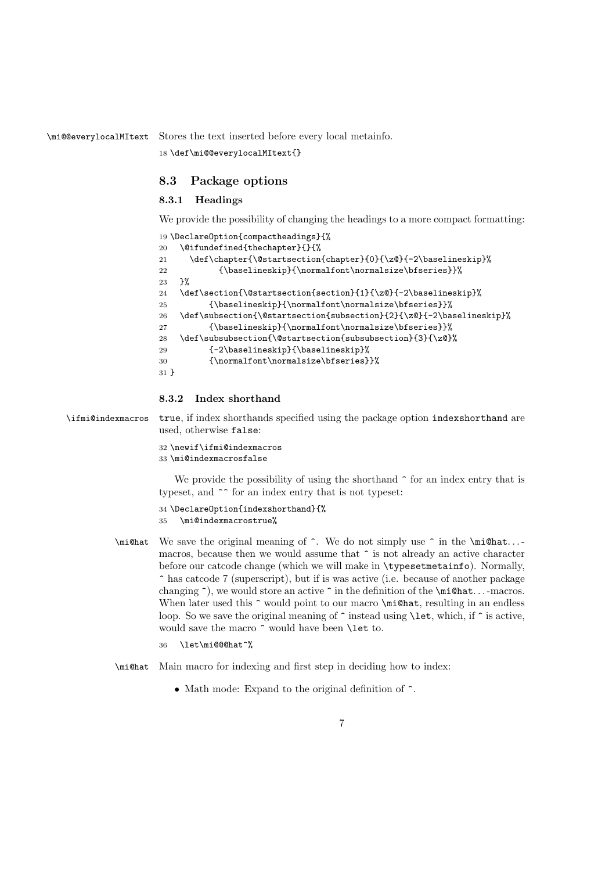\mi@@everylocalMItext Stores the text inserted before every local metainfo.

18 \def\mi@@everylocalMItext{}

### 8.3 Package options

### 8.3.1 Headings

We provide the possibility of changing the headings to a more compact formatting:

```
19 \DeclareOption{compactheadings}{%
20 \@ifundefined{thechapter}{}{%
21 \def\chapter{\@startsection{chapter}{0}{\z@}{-2\baselineskip}%
22 {\baselineskip}{\normalfont\normalsize\bfseries}}%
23 }%
24 \def\section{\@startsection{section}{1}{\z@}{-2\baselineskip}%
25 {\baselineskip}{\normalfont\normalsize\bfseries}}%
26 \def\subsection{\@startsection{subsection}{2}{\z@}{-2\baselineskip}%
27 {\baselineskip}{\normalfont\normalsize\bfseries}}%
28 \def\subsubsection{\@startsection{subsubsection}{3}{\z@}%
29 {-2\baselineskip}{\baselineskip}%
30 {\normalfont\normalsize\bfseries}}%
31 }
```
### 8.3.2 Index shorthand

\ifmi@indexmacros true, if index shorthands specified using the package option indexshorthand are used, otherwise false:

> 32 \newif\ifmi@indexmacros 33 \mi@indexmacrosfalse

We provide the possibility of using the shorthand  $\hat{ }$  for an index entry that is typeset, and ^^ for an index entry that is not typeset:

34 \DeclareOption{indexshorthand}{% 35 \mi@indexmacrostrue%

\mi@hat We save the original meaning of ^. We do not simply use ^ in the \mi@hat. . . macros, because then we would assume that  $\hat{\ }$  is not already an active character before our catcode change (which we will make in \typesetmetainfo). Normally, ^ has catcode 7 (superscript), but if is was active (i.e. because of another package changing  $\hat{\ }$ , we would store an active  $\hat{\ }$  in the definition of the \mi@hat... -macros. When later used this  $\hat{\ }$  would point to our macro  $\hat{\ }$  in  $\hat{\ }$  resulting in an endless loop. So we save the original meaning of  $\hat{ }$  instead using **\let**, which, if  $\hat{ }$  is active, would save the macro  $\widehat{\phantom{a}}$  would have been **\let** to.

```
\let\mi@@@hat^%
```
\mi@hat Main macro for indexing and first step in deciding how to index:

• Math mode: Expand to the original definition of  $\hat{\ }$ .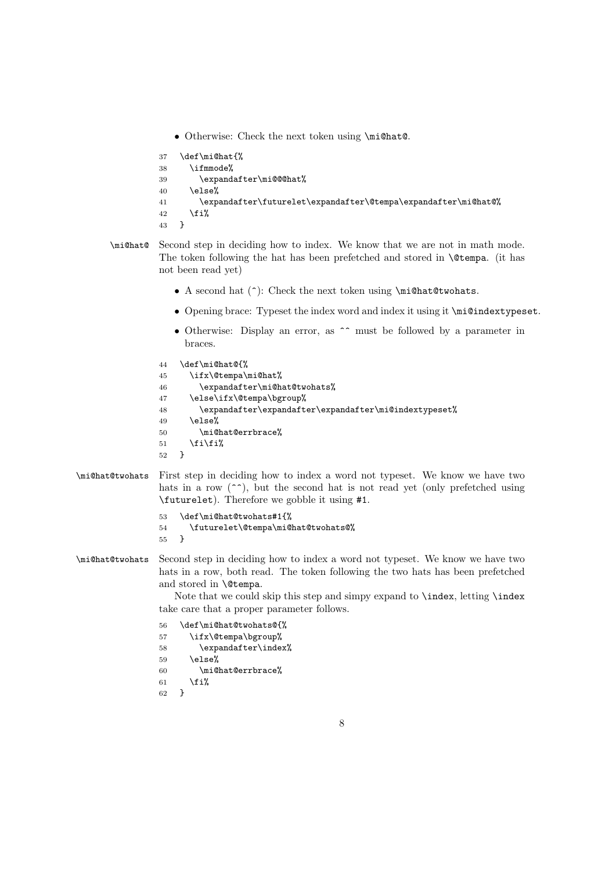• Otherwise: Check the next token using \mi@hat@.

```
37 \def\mi@hat{%
38 \ifmmode%
39 \expandafter\mi@@@hat%
40 \else%
41 \expandafter\futurelet\expandafter\@tempa\expandafter\mi@hat@%
42 \fi%<br>43 }
43 }
```
- \mi@hat@ Second step in deciding how to index. We know that we are not in math mode. The token following the hat has been prefetched and stored in \@tempa. (it has not been read yet)
	- A second hat (^): Check the next token using \mi@hat@twohats.
	- Opening brace: Typeset the index word and index it using it \mi@indextypeset.
	- Otherwise: Display an error, as  $\hat{ }$  must be followed by a parameter in braces.

```
44 \def\mi@hat@{%
45 \ifx\@tempa\mi@hat%
46 \expandafter\mi@hat@twohats%
47 \else\ifx\@tempa\bgroup%
48 \expandafter\expandafter\expandafter\mi@indextypeset%
49 \else%
50 \mi@hat@errbrace%
51 \tilde{i}'52 }
```
\mi@hat@twohats First step in deciding how to index a word not typeset. We know we have two hats in a row  $(\hat{\ }^{\bullet})$ , but the second hat is not read yet (only prefetched using \futurelet). Therefore we gobble it using #1.

```
53 \def\mi@hat@twohats#1{%
54 \futurelet\@tempa\mi@hat@twohats@%
55\,
```
\mi@hat@twohats Second step in deciding how to index a word not typeset. We know we have two hats in a row, both read. The token following the two hats has been prefetched and stored in \@tempa.

> Note that we could skip this step and simpy expand to \index, letting \index take care that a proper parameter follows.

```
56 \def\mi@hat@twohats@{%
57 \ifx\@tempa\bgroup%
58 \expandafter\index%
59 \else%
60 \mi@hat@errbrace%
61 \overline{\forall}62 }
```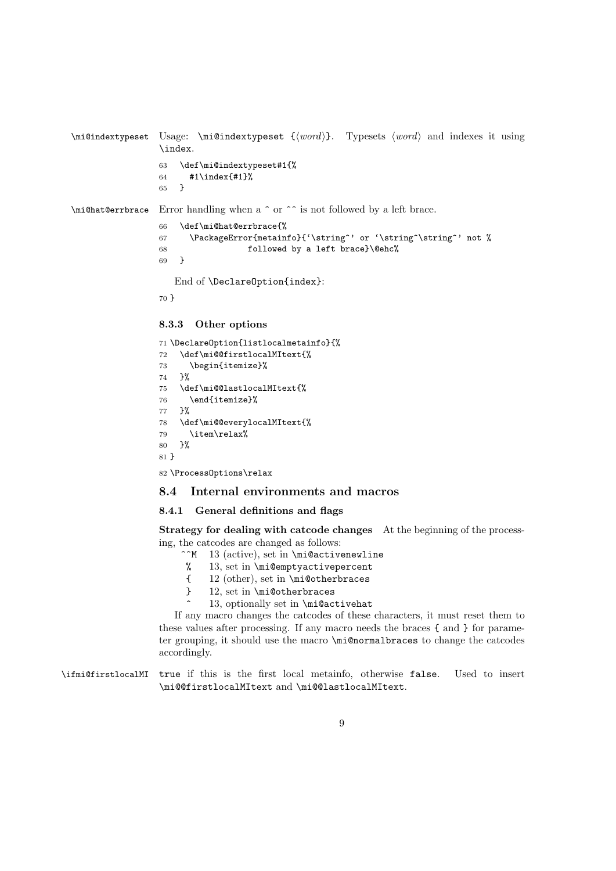```
\mathcal{L} \mi@indextypeset \{word\}. Typesets \{word\} and indexes it using
                \index.
                63 \def\mi@indextypeset#1{%
                64 #1\index{#1}%
                65 }
\mi@hat@errbrace Error handling when a ^ or ^^ is not followed by a left brace.
                66 \def\mi@hat@errbrace{%
                67 \PackageError{metainfo}{'\string^' or '\string^\string^' not %
                68 followed by a left brace}\@ehc%
                69 }
                   End of \DeclareOption{index}:
                70 }
                8.3.3 Other options
```

```
71 \DeclareOption{listlocalmetainfo}{%
72 \def\mi@@firstlocalMItext{%
73 \begin{itemize}%
74 }%
75 \def\mi@@lastlocalMItext{%
76 \end{itemize}%
77 }%
78 \def\mi@@everylocalMItext{%
79 \item\relax%
80 }%
81 }
```
82 \ProcessOptions\relax

### 8.4 Internal environments and macros

### 8.4.1 General definitions and flags

Strategy for dealing with catcode changes At the beginning of the processing, the catcodes are changed as follows:<br> $\hat{M}$  13 (active), set in \mi@active

- 13 (active), set in  $\mid$ M i@activenewline
- % 13, set in \mi@emptyactivepercent
- { 12 (other), set in \mi@otherbraces
- } 12, set in \mi@otherbraces
	- 13, optionally set in \mi@activehat

If any macro changes the catcodes of these characters, it must reset them to these values after processing. If any macro needs the braces { and } for parameter grouping, it should use the macro \mi@normalbraces to change the catcodes accordingly.

\ifmi@firstlocalMI true if this is the first local metainfo, otherwise false. Used to insert \mi@@firstlocalMItext and \mi@@lastlocalMItext.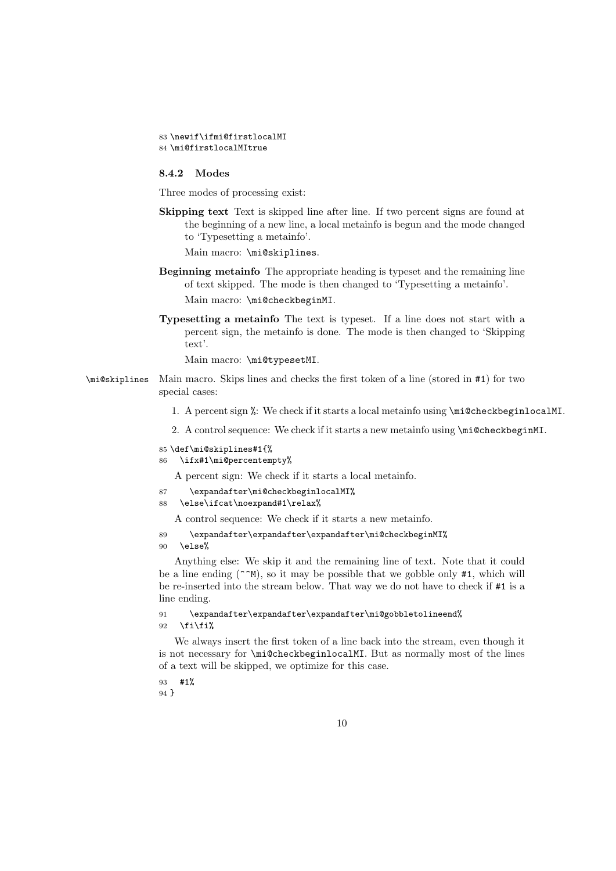```
83 \newif\ifmi@firstlocalMI
84 \mi@firstlocalMItrue
```
#### 8.4.2 Modes

Three modes of processing exist:

Skipping text Text is skipped line after line. If two percent signs are found at the beginning of a new line, a local metainfo is begun and the mode changed to 'Typesetting a metainfo'.

Main macro: \mi@skiplines.

- Beginning metainfo The appropriate heading is typeset and the remaining line of text skipped. The mode is then changed to 'Typesetting a metainfo'. Main macro: \mi@checkbeginMI.
- Typesetting a metainfo The text is typeset. If a line does not start with a percent sign, the metainfo is done. The mode is then changed to 'Skipping text'.

Main macro: \mi@typesetMI.

- \mi@skiplines Main macro. Skips lines and checks the first token of a line (stored in #1) for two special cases:
	- 1. A percent sign %: We check if it starts a local metainfo using \mi@checkbeginlocalMI.
	- 2. A control sequence: We check if it starts a new metainfo using \mi@checkbeginMI.

```
85 \def\mi@skiplines#1{%
86 \ifx#1\mi@percentempty%
```
A percent sign: We check if it starts a local metainfo.

```
87 \expandafter\mi@checkbeginlocalMI%
```

```
88 \else\ifcat\noexpand#1\relax%
```
A control sequence: We check if it starts a new metainfo.

```
89 \expandafter\expandafter\expandafter\mi@checkbeginMI%
```
90 \else%

Anything else: We skip it and the remaining line of text. Note that it could be a line ending ( $\sim$ M), so it may be possible that we gobble only #1, which will be re-inserted into the stream below. That way we do not have to check if #1 is a line ending.

91 \expandafter\expandafter\expandafter\mi@gobbletolineend%  $92 \quad \text{ififif?}$ 

We always insert the first token of a line back into the stream, even though it is not necessary for \mi@checkbeginlocalMI. But as normally most of the lines of a text will be skipped, we optimize for this case.

93 #1% 94 }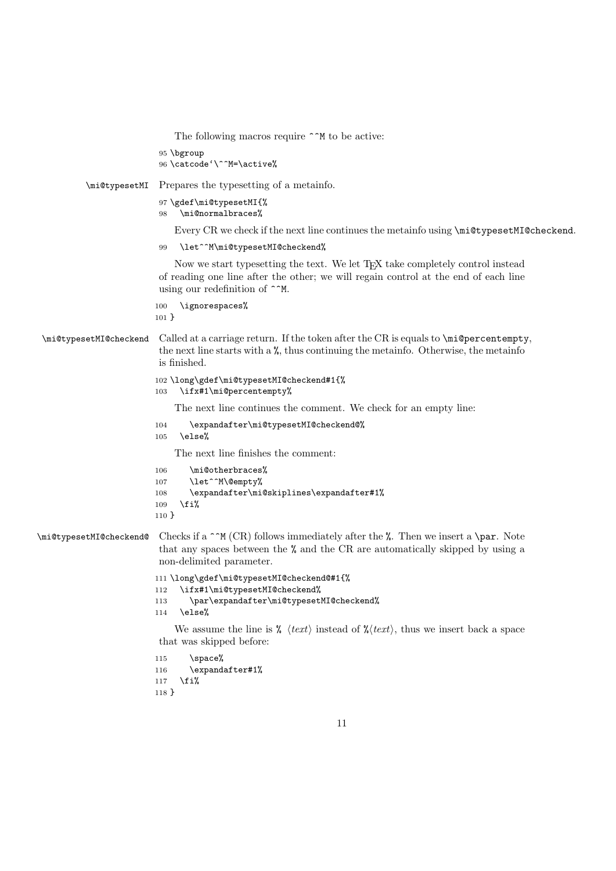```
The following macros require \hat{\ }M to be active:
                           95 \bgroup
                           96 \catcode'\^^M=\active%
           \mi@typesetMI Prepares the typesetting of a metainfo.
                           97 \gdef\mi@typesetMI{%
                           98 \mi@normalbraces%
                               Every CR we check if the next line continues the metainfo using \mi@typesetMI@checkend.
                           99 \let^^M\mi@typesetMI@checkend%
                               Now we start typesetting the text. We let TEX take completely control instead
                           of reading one line after the other; we will regain control at the end of each line
                           using our redefinition of ^^M.
                          100 \ignorespaces%
                          101 }
 \mi@typesetMI@checkend Called at a carriage return. If the token after the CR is equals to \mi@percentempty,
                           the next line starts with a \chi, thus continuing the metainfo. Otherwise, the metainfo
                           is finished.
                          102 \long\gdef\mi@typesetMI@checkend#1{%
                          103 \ifx#1\mi@percentempty%
                               The next line continues the comment. We check for an empty line:
                          104 \expandafter\mi@typesetMI@checkend@%
                          105 \else%
                               The next line finishes the comment:
                          106 \mi@otherbraces%
                          107 \let^^M\@empty%
                          108 \expandafter\mi@skiplines\expandafter#1%
                          109 \fi%
                          110 }
\mathcal{L}_{\text{w}} Checkend Checks if a \cap (CR) follows immediately after the %. Then we insert a \par. Note
                           that any spaces between the % and the CR are automatically skipped by using a
                           non-delimited parameter.
                          111 \long\gdef\mi@typesetMI@checkend@#1{%
                          112 \ifx#1\mi@typesetMI@checkend%
                          113 \par\expandafter\mi@typesetMI@checkend%
                          114 \else%
                               We assume the line is \frac{\partial}{\partial t} \langle text \rangle instead of \frac{\partial}{\partial t} \langle text \rangle, thus we insert back a space
                           that was skipped before:
                          115 \space%
                          116 \expandafter#1%
                          117 \fi%
```

```
118 }
```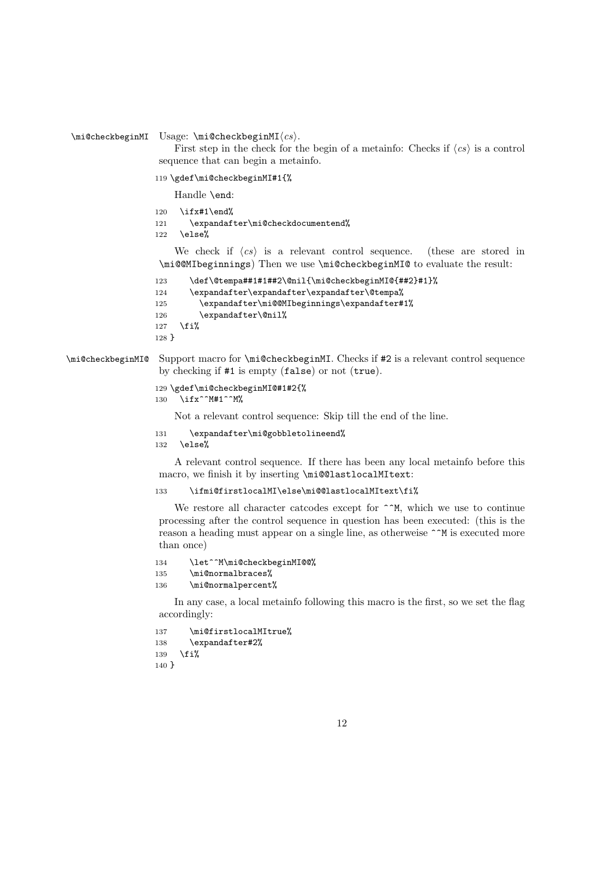$\in$ CheckbeginMI Usage:  $\mid$ CheckbeginMI $\langle cs \rangle$ .

First step in the check for the begin of a metainfo: Checks if  $\langle cs \rangle$  is a control sequence that can begin a metainfo.

119 \gdef\mi@checkbeginMI#1{%

Handle \end:

- 120  $\it \iint x#1\end{math}$
- 121 \expandafter\mi@checkdocumentend%

122 \else%

We check if  $\langle cs \rangle$  is a relevant control sequence. (these are stored in \mi@@MIbeginnings) Then we use \mi@checkbeginMI@ to evaluate the result:

```
123 \def\@tempa##1#1##2\@nil{\mi@checkbeginMI@{##2}#1}%
124 \expandafter\expandafter\expandafter\@tempa%
125 \expandafter\mi@@MIbeginnings\expandafter#1%
126 \expandafter\@nil%
127 \fi%
128 }
```
\mi@checkbeginMI@ Support macro for \mi@checkbeginMI. Checks if #2 is a relevant control sequence by checking if #1 is empty (false) or not (true).

```
129 \gdef\mi@checkbeginMI@#1#2{%
130 \ifx^^M#1^^M%
```
Not a relevant control sequence: Skip till the end of the line.

131 \expandafter\mi@gobbletolineend%

132 \else%

A relevant control sequence. If there has been any local metainfo before this macro, we finish it by inserting \mi@@lastlocalMItext:

133 \ifmi@firstlocalMI\else\mi@@lastlocalMItext\fi%

We restore all character catcodes except for  $\hat{m}$ , which we use to continue processing after the control sequence in question has been executed: (this is the reason a heading must appear on a single line, as otherweise ^^M is executed more than once)

```
134 \let^^M\mi@checkbeginMI@@%
135 \mi@normalbraces%
136 \mi@normalpercent%
```
In any case, a local metainfo following this macro is the first, so we set the flag accordingly:

```
137 \mi@firstlocalMItrue%
138 \expandafter#2%
139 \fi%
140 }
```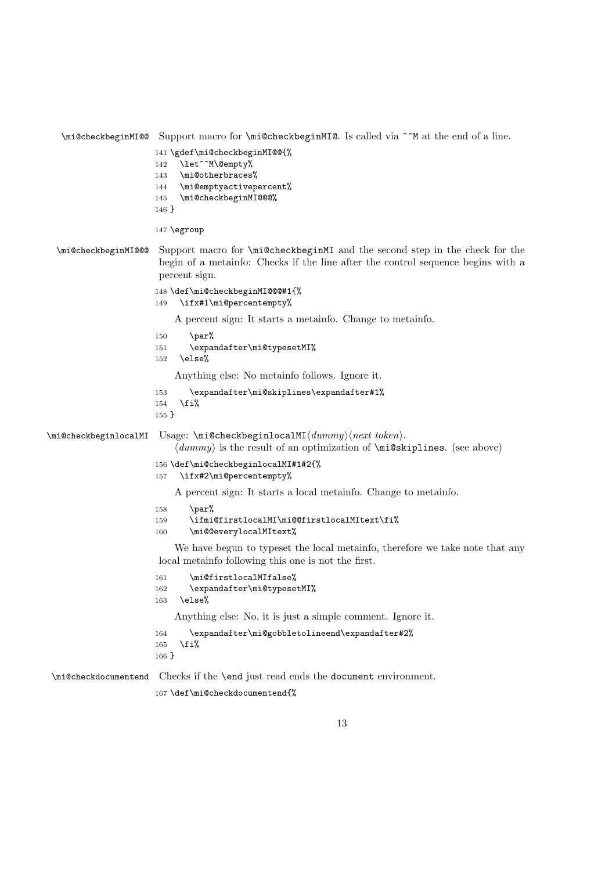```
\mi@checkbeginMI@@ Support macro for \mi@checkbeginMI@. Is called via ^^M at the end of a line.
                       141 \gdef\mi@checkbeginMI@@{%
                       142 \let^^M\@empty%
                       143 \mi@otherbraces%
                       144 \mi@emptyactivepercent%
                       145 \mi@checkbeginMI@@@%
                       146 }
                       147 \egroup
  \mi@checkbeginMI@@@ Support macro for \mi@checkbeginMI and the second step in the check for the
                        begin of a metainfo: Checks if the line after the control sequence begins with a
                        percent sign.
                       148 \def\mi@checkbeginMI@@@#1{%
                       149 \ifx#1\mi@percentempty%
                           A percent sign: It starts a metainfo. Change to metainfo.
                       150 \qquad \text{par\textdegree}151 \expandafter\mi@typesetMI%
                       152 \else%
                           Anything else: No metainfo follows. Ignore it.
                       153 \expandafter\mi@skiplines\expandafter#1%
                       154 \fi%
                       155 }
\langle\mathcal{C}\rangle \mi@checkbeginlocalMI Usage: \mi@checkbeginlocalMI\langle\mathcal{C}\rangle\langle dummy \rangle is the result of an optimization of \midmi@skiplines. (see above)
                       156 \def\mi@checkbeginlocalMI#1#2{%
                       157 \ifx#2\mi@percentempty%
                           A percent sign: It starts a local metainfo. Change to metainfo.
                       158 \par%
                       159 \ifmi@firstlocalMI\mi@@firstlocalMItext\fi%
                       160 \mi@@everylocalMItext%
                           We have begun to typeset the local metainfo, therefore we take note that any
                        local metainfo following this one is not the first.
                       161 \mi@firstlocalMIfalse%
                       162 \expandafter\mi@typesetMI%
                       163 \else%
                           Anything else: No, it is just a simple comment. Ignore it.
                       164 \expandafter\mi@gobbletolineend\expandafter#2%
                       165 \fi%
                       166 }
\mi@checkdocumentend Checks if the \end just read ends the document environment.
                       167 \def\mi@checkdocumentend{%
```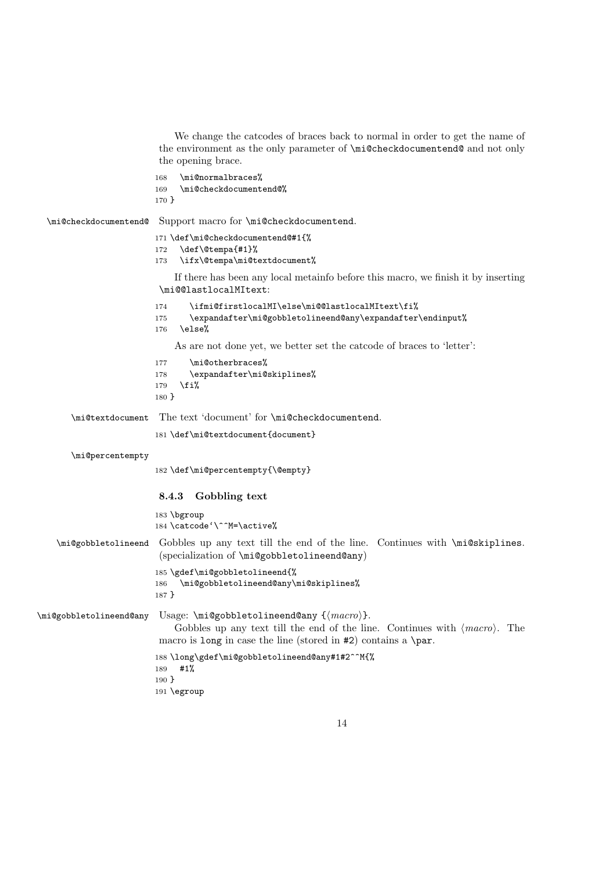We change the catcodes of braces back to normal in order to get the name of the environment as the only parameter of \mi@checkdocumentend@ and not only the opening brace.

```
168 \mi@normalbraces%
169 \mi@checkdocumentend@%
170 }
```
\mi@checkdocumentend@ Support macro for \mi@checkdocumentend.

```
171 \def\mi@checkdocumentend@#1{%
```

```
172 \def\@tempa{#1}%
```
173 \ifx\@tempa\mi@textdocument%

If there has been any local metainfo before this macro, we finish it by inserting \mi@@lastlocalMItext:

```
174 \ifmi@firstlocalMI\else\mi@@lastlocalMItext\fi%
```
- 175 \expandafter\mi@gobbletolineend@any\expandafter\endinput% 176 \else%
- 

As are not done yet, we better set the catcode of braces to 'letter':

```
177 \mi@otherbraces%
178 \expandafter\mi@skiplines%
```
- 179 \fi%
- 180 }

\mi@textdocument The text 'document' for \mi@checkdocumentend.

181 \def\mi@textdocument{document}

```
\mi@percentempty
```
182 \def\mi@percentempty{\@empty}

### 8.4.3 Gobbling text

183 \bgroup 184 \catcode'\^^M=\active%

\mi@gobbletolineend Gobbles up any text till the end of the line. Continues with \mi@skiplines. (specialization of \mi@gobbletolineend@any)

```
185 \gdef\mi@gobbletolineend{%
186 \mi@gobbletolineend@any\mi@skiplines%
```

```
187 }
```
 $\in$   $\mathbb{Q}$  and  $\in$   $\mathbb{Q}$  any  $\in$   $\mathbb{Q}$   $\in$   $\mathbb{Q}$   $\in$   $\mathbb{Q}$   $\in$   $\mathbb{Q}$   $\in$   $\mathbb{Q}$   $\in$   $\mathbb{Q}$   $\in$   $\mathbb{Q}$   $\in$   $\mathbb{Q}$   $\in$   $\mathbb{Q}$   $\in$   $\mathbb{Q}$   $\in$   $\mathbb{Q}$   $\in$   $\mathbb{Q}$   $\in$   $\mathbb{Q}$   $\in$ Gobbles up any text till the end of the line. Continues with  $\langle macro\rangle$ . The macro is long in case the line (stored in #2) contains a \par.

```
188 \long\gdef\mi@gobbletolineend@any#1#2^^M{%
189 #1%
190 }
191 \egroup
```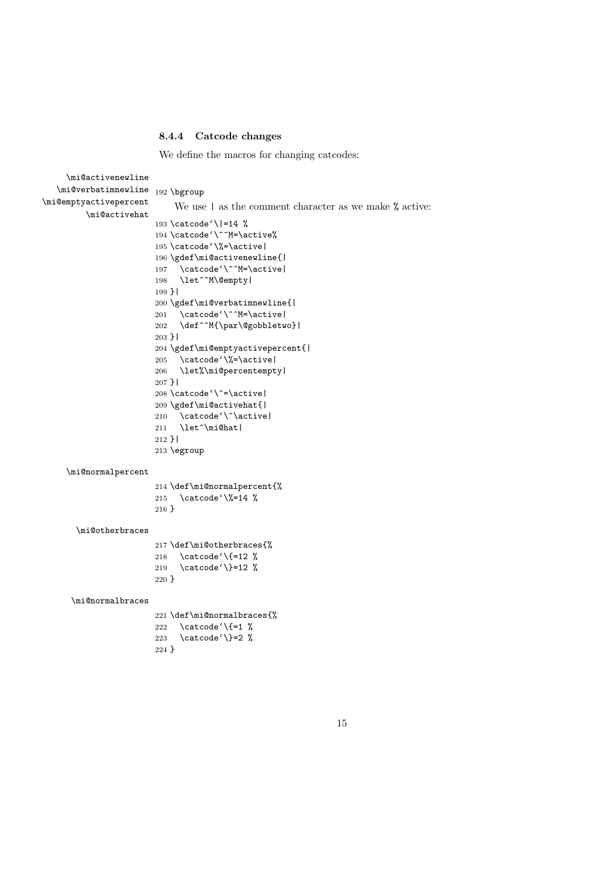#### 8.4.4 Catcode changes

We define the macros for changing catcodes:

```
\mi@activenewline
   \mi@verbatimnewline 192\bgroup
\mi@emptyactivepercent
         \mi@activehat
                            We use \vert as the comment character as we make % active:
                       193 \catcode'\|=14 %
                       194 \catcode'\^^M=\active%
                       195 \catcode'\%=\active|
                       196 \gdef\mi@activenewline{|
                       197 \catcode'\^^M=\active|
                       198 \let^^M\@empty|
                       199 }|
                       200 \gdef\mi@verbatimnewline{|
                        201 \catcode'\^^M=\active|
                        202 \def^^M{\par\@gobbletwo}|
                       203 }|
                       204 \gdef\mi@emptyactivepercent{|
                        205 \catcode'\%=\active|
                        206 \let%\mi@percentempty|
                       207 }|
                       208 \catcode'\^=\active|
                       209 \gdef\mi@activehat{|
                       210 \catcode'\^\active|
                       211 \let^\mi@hat|
                       212 }|
                       213 \egroup
     \mi@normalpercent
                       214 \def\mi@normalpercent{%
                       215 \catcode'\%=14 %
                       216 }
       \mi@otherbraces
                       217 \def\mi@otherbraces{%
                       218 \catcode'\{=12 %
                       219 \catcode'\}=12 %
                       220 }
      \mi@normalbraces
                       221 \def\mi@normalbraces{%
                        222 \catcode'\{=1 \%223 \catcode'\}=2 %
                       224 }
```